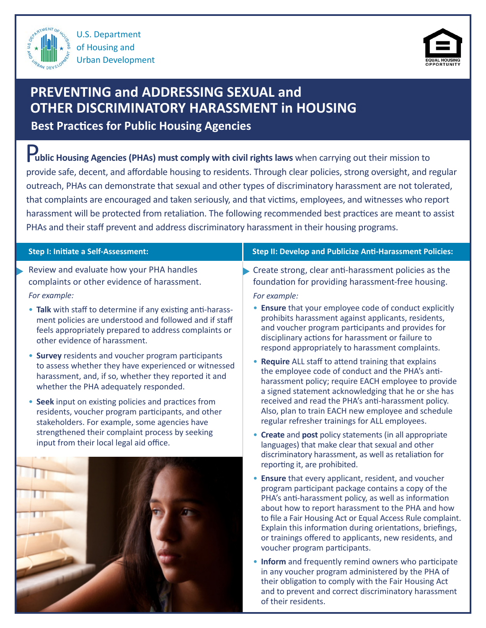

U.S. Department of Housing and Urban Development



# **PREVENTING and ADDRESSING SEXUAL and OTHER DISCRIMINATORY HARASSMENT in HOUSING**

**Best Practices for Public Housing Agencies**

 P**ublic Housing Agencies (PHAs) must comply with civil rights laws** when carrying out their mission to provide safe, decent, and affordable housing to residents. Through clear policies, strong oversight, and regular outreach, PHAs can demonstrate that sexual and other types of discriminatory harassment are not tolerated, that complaints are encouraged and taken seriously, and that victims, employees, and witnesses who report harassment will be protected from retaliation. The following recommended best practices are meant to assist PHAs and their staff prevent and address discriminatory harassment in their housing programs.

#### **Step I: Initiate a Self-Assessment:**

- Review and evaluate how your PHA handles complaints or other evidence of harassment. *For example:*
	- **Talk** with staff to determine if any existing anti-harassment policies are understood and followed and if staff feels appropriately prepared to address complaints or other evidence of harassment.
	- **Survey** residents and voucher program participants to assess whether they have experienced or witnessed harassment, and, if so, whether they reported it and whether the PHA adequately responded.
	- **Seek** input on existing policies and practices from residents, voucher program participants, and other stakeholders. For example, some agencies have strengthened their complaint process by seeking input from their local legal aid office.



### **Step II: Develop and Publicize Anti-Harassment Policies:**

- Create strong, clear anti-harassment policies as the foundation for providing harassment-free housing. *For example:*
	- **Ensure** that your employee code of conduct explicitly prohibits harassment against applicants, residents, and voucher program participants and provides for disciplinary actions for harassment or failure to

respond appropriately to harassment complaints.

- **Require** ALL staff to attend training that explains the employee code of conduct and the PHA's antiharassment policy; require EACH employee to provide a signed statement acknowledging that he or she has received and read the PHA's anti-harassment policy. Also, plan to train EACH new employee and schedule regular refresher trainings for ALL employees.
- **Create** and **post** policy statements (in all appropriate languages) that make clear that sexual and other discriminatory harassment, as well as retaliation for reporting it, are prohibited.
- **Ensure** that every applicant, resident, and voucher program participant package contains a copy of the PHA's anti-harassment policy, as well as information about how to report harassment to the PHA and how to file a Fair Housing Act or Equal Access Rule complaint. Explain this information during orientations, briefings, or trainings offered to applicants, new residents, and voucher program participants.
- **Inform** and frequently remind owners who participate in any voucher program administered by the PHA of their obligation to comply with the Fair Housing Act and to prevent and correct discriminatory harassment of their residents.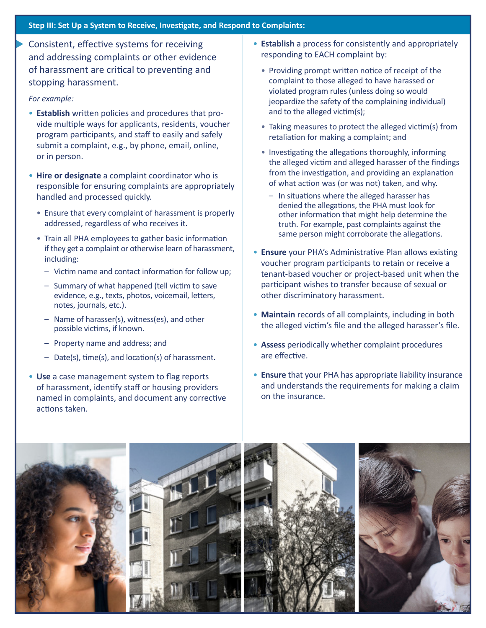### **Step III: Set Up a System to Receive, Investigate, and Respond to Complaints:**

Consistent, effective systems for receiving and addressing complaints or other evidence of harassment are critical to preventing and stopping harassment.

#### *For example:*

- **Establish** written policies and procedures that provide multiple ways for applicants, residents, voucher program participants, and staff to easily and safely submit a complaint, e.g., by phone, email, online, or in person.
- **Hire or designate** a complaint coordinator who is responsible for ensuring complaints are appropriately handled and processed quickly.
	- Ensure that every complaint of harassment is properly addressed, regardless of who receives it.
	- Train all PHA employees to gather basic information if they get a complaint or otherwise learn of harassment, including:
		- Victim name and contact information for follow up;
		- Summary of what happened (tell victim to save evidence, e.g., texts, photos, voicemail, letters, notes, journals, etc.).
		- Name of harasser(s), witness(es), and other possible victims, if known.
		- Property name and address; and
		- Date(s), time(s), and location(s) of harassment.
- **Use** a case management system to flag reports of harassment, identify staff or housing providers named in complaints, and document any corrective actions taken.
- **Establish** a process for consistently and appropriately responding to EACH complaint by:
	- Providing prompt written notice of receipt of the complaint to those alleged to have harassed or violated program rules (unless doing so would jeopardize the safety of the complaining individual) and to the alleged victim(s);
	- Taking measures to protect the alleged victim(s) from retaliation for making a complaint; and
	- Investigating the allegations thoroughly, informing the alleged victim and alleged harasser of the findings from the investigation, and providing an explanation of what action was (or was not) taken, and why.
		- In situations where the alleged harasser has denied the allegations, the PHA must look for other information that might help determine the truth. For example, past complaints against the same person might corroborate the allegations.
- **Ensure** your PHA's Administrative Plan allows existing voucher program participants to retain or receive a tenant-based voucher or project-based unit when the participant wishes to transfer because of sexual or other discriminatory harassment.
- **Maintain** records of all complaints, including in both the alleged victim's file and the alleged harasser's file.
- **Assess** periodically whether complaint procedures are effective.
- **Ensure** that your PHA has appropriate liability insurance and understands the requirements for making a claim on the insurance.